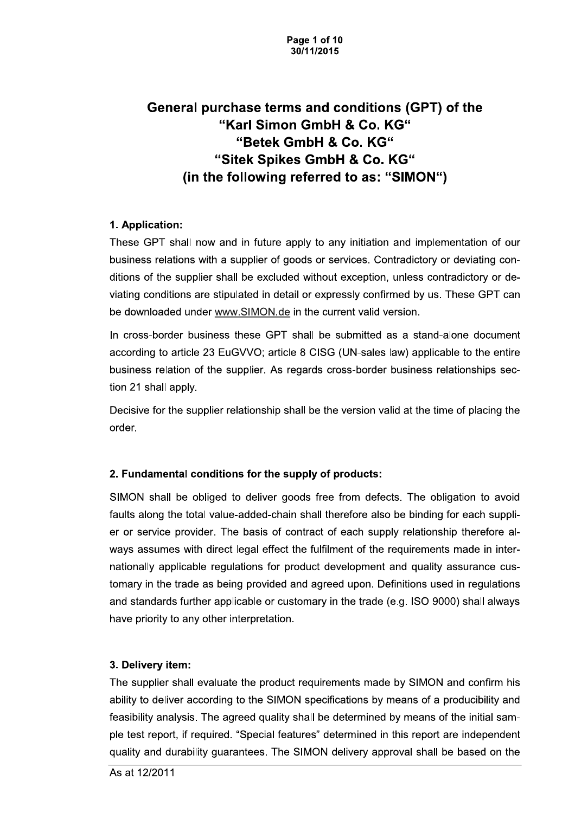# General purchase terms and conditions (GPT) of the "Karl Simon GmbH & Co. KG" "Betek GmbH & Co. KG" "Sitek Spikes GmbH & Co. KG" (in the following referred to as: "SIMON")

# 1. Application:

These GPT shall now and in future apply to any initiation and implementation of our business relations with a supplier of goods or services. Contradictory or deviating conditions of the supplier shall be excluded without exception, unless contradictory or deviating conditions are stipulated in detail or expressly confirmed by us. These GPT can be downloaded under www.SIMON.de in the current valid version.

In cross-border business these GPT shall be submitted as a stand-alone document according to article 23 EuGVVO; article 8 CISG (UN-sales law) applicable to the entire business relation of the supplier. As regards cross-border business relationships section 21 shall apply.

Decisive for the supplier relationship shall be the version valid at the time of placing the order.

### 2. Fundamental conditions for the supply of products:

SIMON shall be obliged to deliver goods free from defects. The obligation to avoid faults along the total value-added-chain shall therefore also be binding for each supplier or service provider. The basis of contract of each supply relationship therefore always assumes with direct legal effect the fulfilment of the requirements made in internationally applicable regulations for product development and quality assurance customary in the trade as being provided and agreed upon. Definitions used in regulations and standards further applicable or customary in the trade (e.g. ISO 9000) shall always have priority to any other interpretation.

### 3. Delivery item:

The supplier shall evaluate the product requirements made by SIMON and confirm his ability to deliver according to the SIMON specifications by means of a producibility and feasibility analysis. The agreed quality shall be determined by means of the initial sample test report, if required. "Special features" determined in this report are independent quality and durability guarantees. The SIMON delivery approval shall be based on the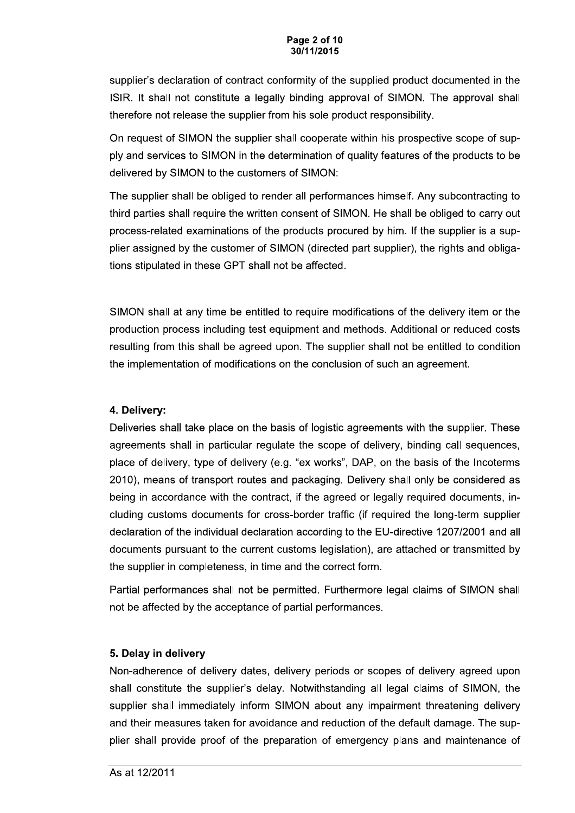#### Page 2 of 10 30/11/2015

supplier's declaration of contract conformity of the supplied product documented in the ISIR. It shall not constitute a legally binding approval of SIMON. The approval shall therefore not release the supplier from his sole product responsibility.

On request of SIMON the supplier shall cooperate within his prospective scope of supply and services to SIMON in the determination of quality features of the products to be delivered by SIMON to the customers of SIMON:

The supplier shall be obliged to render all performances himself. Any subcontracting to third parties shall require the written consent of SIMON. He shall be obliged to carry out process-related examinations of the products procured by him. If the supplier is a supplier assigned by the customer of SIMON (directed part supplier), the rights and obligations stipulated in these GPT shall not be affected.

SIMON shall at any time be entitled to require modifications of the delivery item or the production process including test equipment and methods. Additional or reduced costs resulting from this shall be agreed upon. The supplier shall not be entitled to condition the implementation of modifications on the conclusion of such an agreement.

### 4. Delivery:

Deliveries shall take place on the basis of logistic agreements with the supplier. These agreements shall in particular regulate the scope of delivery, binding call sequences, place of delivery, type of delivery (e.g. "ex works", DAP, on the basis of the Incoterms 2010), means of transport routes and packaging. Delivery shall only be considered as being in accordance with the contract, if the agreed or legally required documents, including customs documents for cross-border traffic (if required the long-term supplier declaration of the individual declaration according to the EU-directive 1207/2001 and all documents pursuant to the current customs legislation), are attached or transmitted by the supplier in completeness, in time and the correct form.

Partial performances shall not be permitted. Furthermore legal claims of SIMON shall not be affected by the acceptance of partial performances.

# 5. Delay in delivery

Non-adherence of delivery dates, delivery periods or scopes of delivery agreed upon shall constitute the supplier's delay. Notwithstanding all legal claims of SIMON, the supplier shall immediately inform SIMON about any impairment threatening delivery and their measures taken for avoidance and reduction of the default damage. The supplier shall provide proof of the preparation of emergency plans and maintenance of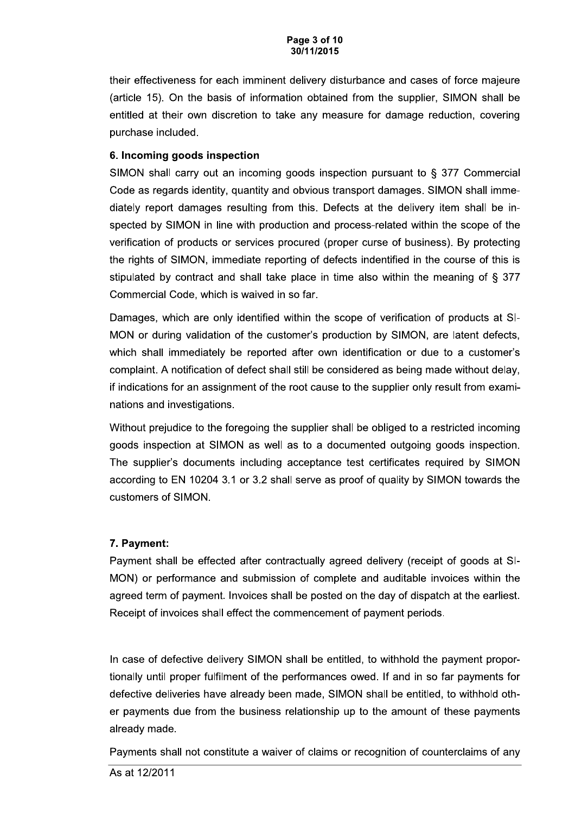their effectiveness for each imminent delivery disturbance and cases of force majeure (article 15). On the basis of information obtained from the supplier, SIMON shall be entitled at their own discretion to take any measure for damage reduction, covering purchase included.

### 6. Incoming goods inspection

SIMON shall carry out an incoming goods inspection pursuant to  $\S$  377 Commercial Code as regards identity, quantity and obvious transport damages. SIMON shall immediately report damages resulting from this. Defects at the delivery item shall be inspected by SIMON in line with production and process-related within the scope of the verification of products or services procured (proper curse of business). By protecting the rights of SIMON, immediate reporting of defects indentified in the course of this is stipulated by contract and shall take place in time also within the meaning of § 377 Commercial Code, which is waived in so far.

Damages, which are only identified within the scope of verification of products at SI-MON or during validation of the customer's production by SIMON, are latent defects, which shall immediately be reported after own identification or due to a customer's complaint. A notification of defect shall still be considered as being made without delay, if indications for an assignment of the root cause to the supplier only result from examinations and investigations.

Without prejudice to the foregoing the supplier shall be obliged to a restricted incoming goods inspection at SIMON as well as to a documented outgoing goods inspection. The supplier's documents including acceptance test certificates required by SIMON according to EN 10204 3.1 or 3.2 shall serve as proof of quality by SIMON towards the customers of SIMON.

# 7. Payment:

Payment shall be effected after contractually agreed delivery (receipt of goods at SI-MON) or performance and submission of complete and auditable invoices within the agreed term of payment. Invoices shall be posted on the day of dispatch at the earliest. Receipt of invoices shall effect the commencement of payment periods.

In case of defective delivery SIMON shall be entitled, to withhold the payment proportionally until proper fulfilment of the performances owed. If and in so far payments for defective deliveries have already been made, SIMON shall be entitled, to withhold other payments due from the business relationship up to the amount of these payments already made.

Payments shall not constitute a waiver of claims or recognition of counterclaims of any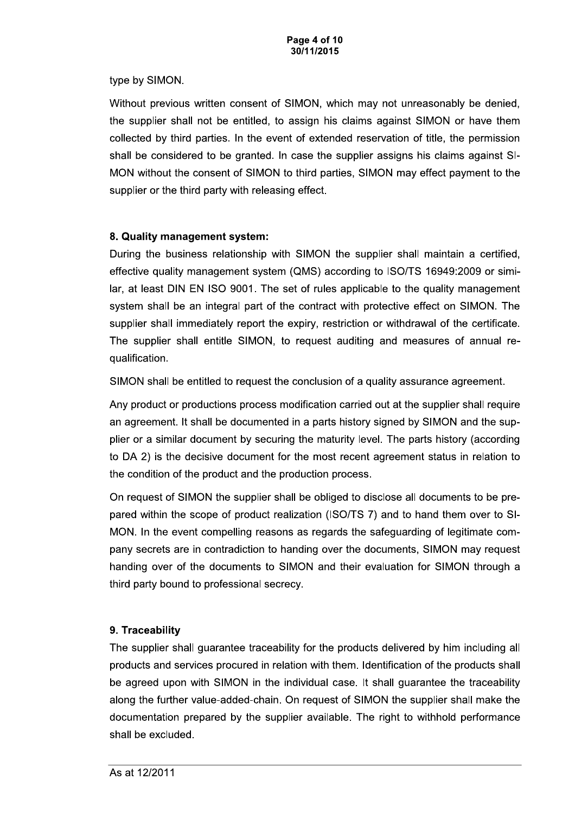type by SIMON.

Without previous written consent of SIMON, which may not unreasonably be denied, the supplier shall not be entitled, to assign his claims against SIMON or have them collected by third parties. In the event of extended reservation of title, the permission shall be considered to be granted. In case the supplier assigns his claims against SI-MON without the consent of SIMON to third parties, SIMON may effect payment to the supplier or the third party with releasing effect.

### 8. Quality management system:

During the business relationship with SIMON the supplier shall maintain a certified, effective quality management system (QMS) according to ISO/TS 16949:2009 or similar, at least DIN EN ISO 9001. The set of rules applicable to the quality management system shall be an integral part of the contract with protective effect on SIMON. The supplier shall immediately report the expiry, restriction or withdrawal of the certificate. The supplier shall entitle SIMON, to request auditing and measures of annual requalification.

SIMON shall be entitled to request the conclusion of a quality assurance agreement.

Any product or productions process modification carried out at the supplier shall require an agreement. It shall be documented in a parts history signed by SIMON and the supplier or a similar document by securing the maturity level. The parts history (according to DA 2) is the decisive document for the most recent agreement status in relation to the condition of the product and the production process.

On request of SIMON the supplier shall be obliged to disclose all documents to be prepared within the scope of product realization (ISO/TS 7) and to hand them over to SI-MON. In the event compelling reasons as regards the safeguarding of legitimate company secrets are in contradiction to handing over the documents, SIMON may request handing over of the documents to SIMON and their evaluation for SIMON through a third party bound to professional secrecy.

# 9. Traceability

The supplier shall guarantee traceability for the products delivered by him including all products and services procured in relation with them. Identification of the products shall be agreed upon with SIMON in the individual case. It shall guarantee the traceability along the further value-added-chain. On request of SIMON the supplier shall make the documentation prepared by the supplier available. The right to withhold performance shall be excluded.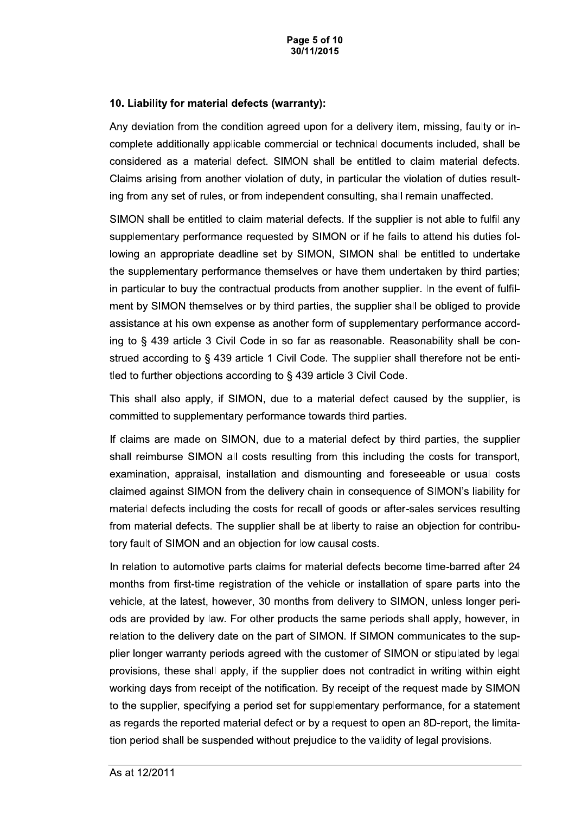#### 10. Liability for material defects (warranty):

Any deviation from the condition agreed upon for a delivery item, missing, faulty or incomplete additionally applicable commercial or technical documents included, shall be considered as a material defect. SIMON shall be entitled to claim material defects. Claims arising from another violation of duty, in particular the violation of duties resulting from any set of rules, or from independent consulting, shall remain unaffected.

SIMON shall be entitled to claim material defects. If the supplier is not able to fulfil any supplementary performance requested by SIMON or if he fails to attend his duties following an appropriate deadline set by SIMON, SIMON shall be entitled to undertake the supplementary performance themselves or have them undertaken by third parties; in particular to buy the contractual products from another supplier. In the event of fulfilment by SIMON themselves or by third parties, the supplier shall be obliged to provide assistance at his own expense as another form of supplementary performance according to § 439 article 3 Civil Code in so far as reasonable. Reasonability shall be construed according to § 439 article 1 Civil Code. The supplier shall therefore not be entitled to further objections according to § 439 article 3 Civil Code.

This shall also apply, if SIMON, due to a material defect caused by the supplier, is committed to supplementary performance towards third parties.

If claims are made on SIMON, due to a material defect by third parties, the supplier shall reimburse SIMON all costs resulting from this including the costs for transport, examination, appraisal, installation and dismounting and foreseeable or usual costs claimed against SIMON from the delivery chain in consequence of SIMON's liability for material defects including the costs for recall of goods or after-sales services resulting from material defects. The supplier shall be at liberty to raise an objection for contributory fault of SIMON and an objection for low causal costs.

In relation to automotive parts claims for material defects become time-barred after 24 months from first-time registration of the vehicle or installation of spare parts into the vehicle, at the latest, however, 30 months from delivery to SIMON, unless longer periods are provided by law. For other products the same periods shall apply, however, in relation to the delivery date on the part of SIMON. If SIMON communicates to the supplier longer warranty periods agreed with the customer of SIMON or stipulated by legal provisions, these shall apply, if the supplier does not contradict in writing within eight working days from receipt of the notification. By receipt of the request made by SIMON to the supplier, specifying a period set for supplementary performance, for a statement as regards the reported material defect or by a request to open an 8D-report, the limitation period shall be suspended without prejudice to the validity of legal provisions.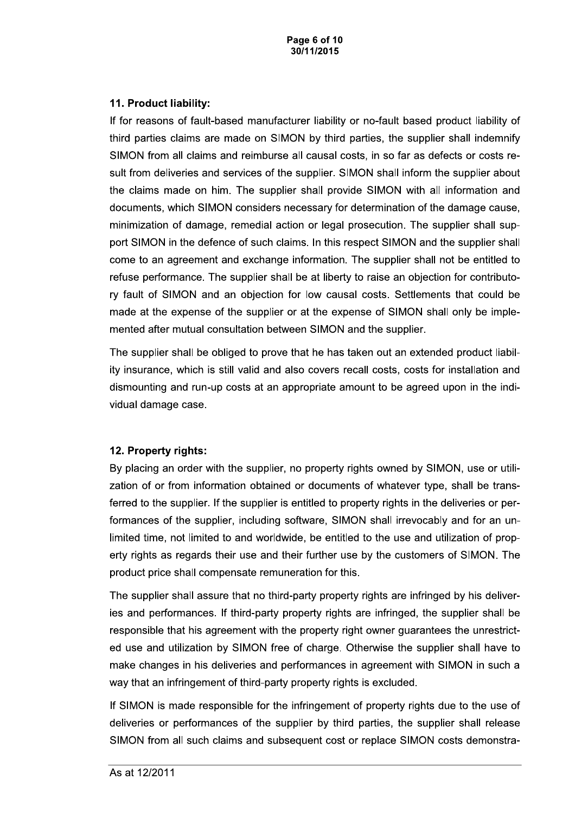Page 6 of 10 30/11/2015

#### 11. Product liability:

If for reasons of fault-based manufacturer liability or no-fault based product liability of third parties claims are made on SIMON by third parties, the supplier shall indemnify SIMON from all claims and reimburse all causal costs, in so far as defects or costs result from deliveries and services of the supplier. SIMON shall inform the supplier about the claims made on him. The supplier shall provide SIMON with all information and documents, which SIMON considers necessary for determination of the damage cause, minimization of damage, remedial action or legal prosecution. The supplier shall support SIMON in the defence of such claims. In this respect SIMON and the supplier shall come to an agreement and exchange information. The supplier shall not be entitled to refuse performance. The supplier shall be at liberty to raise an objection for contributory fault of SIMON and an objection for low causal costs. Settlements that could be made at the expense of the supplier or at the expense of SIMON shall only be implemented after mutual consultation between SIMON and the supplier.

The supplier shall be obliged to prove that he has taken out an extended product liability insurance, which is still valid and also covers recall costs, costs for installation and dismounting and run-up costs at an appropriate amount to be agreed upon in the individual damage case.

### 12. Property rights:

By placing an order with the supplier, no property rights owned by SIMON, use or utilization of or from information obtained or documents of whatever type, shall be transferred to the supplier. If the supplier is entitled to property rights in the deliveries or performances of the supplier, including software, SIMON shall irrevocably and for an unlimited time, not limited to and worldwide, be entitled to the use and utilization of property rights as regards their use and their further use by the customers of SIMON. The product price shall compensate remuneration for this.

The supplier shall assure that no third-party property rights are infringed by his deliveries and performances. If third-party property rights are infringed, the supplier shall be responsible that his agreement with the property right owner guarantees the unrestricted use and utilization by SIMON free of charge. Otherwise the supplier shall have to make changes in his deliveries and performances in agreement with SIMON in such a way that an infringement of third-party property rights is excluded.

If SIMON is made responsible for the infringement of property rights due to the use of deliveries or performances of the supplier by third parties, the supplier shall release SIMON from all such claims and subsequent cost or replace SIMON costs demonstra-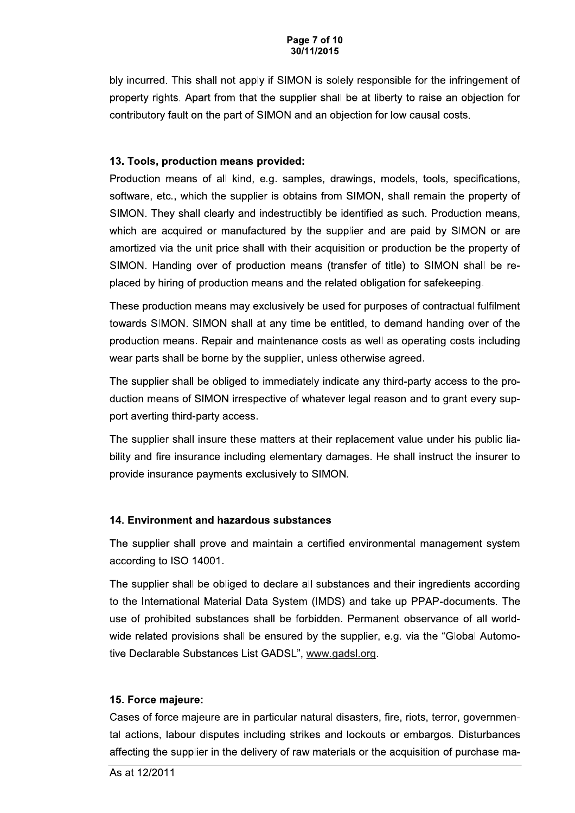#### Page 7 of 10 30/11/2015

bly incurred. This shall not apply if SIMON is solely responsible for the infringement of property rights. Apart from that the supplier shall be at liberty to raise an objection for contributory fault on the part of SIMON and an objection for low causal costs.

### 13. Tools, production means provided:

Production means of all kind, e.g. samples, drawings, models, tools, specifications, software, etc., which the supplier is obtains from SIMON, shall remain the property of SIMON. They shall clearly and indestructibly be identified as such. Production means, which are acquired or manufactured by the supplier and are paid by SIMON or are amortized via the unit price shall with their acquisition or production be the property of SIMON. Handing over of production means (transfer of title) to SIMON shall be replaced by hiring of production means and the related obligation for safekeeping.

These production means may exclusively be used for purposes of contractual fulfilment towards SIMON. SIMON shall at any time be entitled, to demand handing over of the production means. Repair and maintenance costs as well as operating costs including wear parts shall be borne by the supplier, unless otherwise agreed.

The supplier shall be obliged to immediately indicate any third-party access to the production means of SIMON irrespective of whatever legal reason and to grant every support averting third-party access.

The supplier shall insure these matters at their replacement value under his public liability and fire insurance including elementary damages. He shall instruct the insurer to provide insurance payments exclusively to SIMON.

# 14. Environment and hazardous substances

The supplier shall prove and maintain a certified environmental management system according to ISO 14001.

The supplier shall be obliged to declare all substances and their ingredients according to the International Material Data System (IMDS) and take up PPAP-documents. The use of prohibited substances shall be forbidden. Permanent observance of all worldwide related provisions shall be ensured by the supplier, e.g. via the "Global Automotive Declarable Substances List GADSL", www.gadsl.org.

### 15. Force majeure:

Cases of force majeure are in particular natural disasters, fire, riots, terror, governmental actions, labour disputes including strikes and lockouts or embargos. Disturbances affecting the supplier in the delivery of raw materials or the acquisition of purchase ma-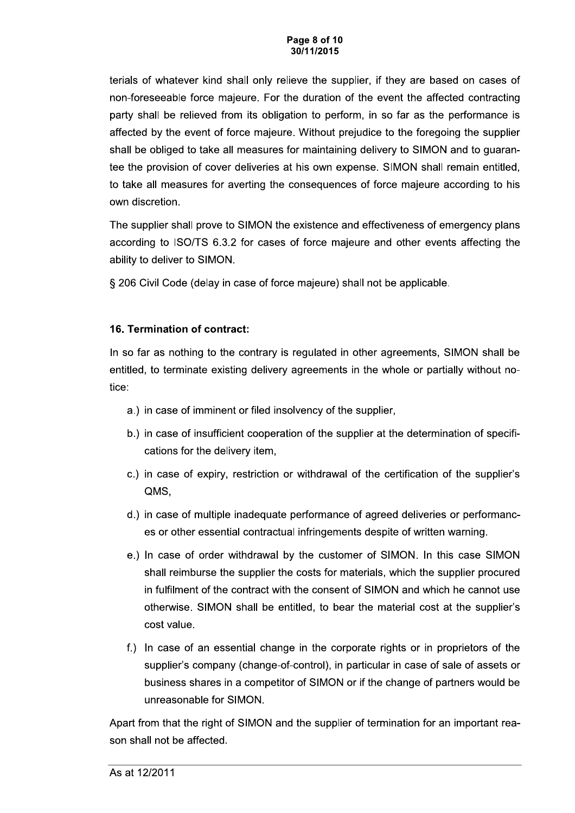#### Page 8 of 10 30/11/2015

terials of whatever kind shall only relieve the supplier, if they are based on cases of non-foreseeable force majeure. For the duration of the event the affected contracting party shall be relieved from its obligation to perform, in so far as the performance is affected by the event of force majeure. Without prejudice to the foregoing the supplier shall be obliged to take all measures for maintaining delivery to SIMON and to guarantee the provision of cover deliveries at his own expense. SIMON shall remain entitled, to take all measures for averting the consequences of force majeure according to his own discretion.

The supplier shall prove to SIMON the existence and effectiveness of emergency plans according to ISO/TS 6.3.2 for cases of force majeure and other events affecting the ability to deliver to SIMON.

§ 206 Civil Code (delay in case of force majeure) shall not be applicable.

# 16. Termination of contract:

In so far as nothing to the contrary is regulated in other agreements, SIMON shall be entitled, to terminate existing delivery agreements in the whole or partially without notice:

- a.) in case of imminent or filed insolvency of the supplier,
- b.) in case of insufficient cooperation of the supplier at the determination of specifications for the delivery item,
- c.) in case of expiry, restriction or withdrawal of the certification of the supplier's QMS,
- d.) in case of multiple inadequate performance of agreed deliveries or performances or other essential contractual infringements despite of written warning.
- e.) In case of order withdrawal by the customer of SIMON. In this case SIMON shall reimburse the supplier the costs for materials, which the supplier procured in fulfilment of the contract with the consent of SIMON and which he cannot use otherwise. SIMON shall be entitled, to bear the material cost at the supplier's cost value.
- f.) In case of an essential change in the corporate rights or in proprietors of the supplier's company (change-of-control), in particular in case of sale of assets or business shares in a competitor of SIMON or if the change of partners would be unreasonable for SIMON.

Apart from that the right of SIMON and the supplier of termination for an important reason shall not be affected.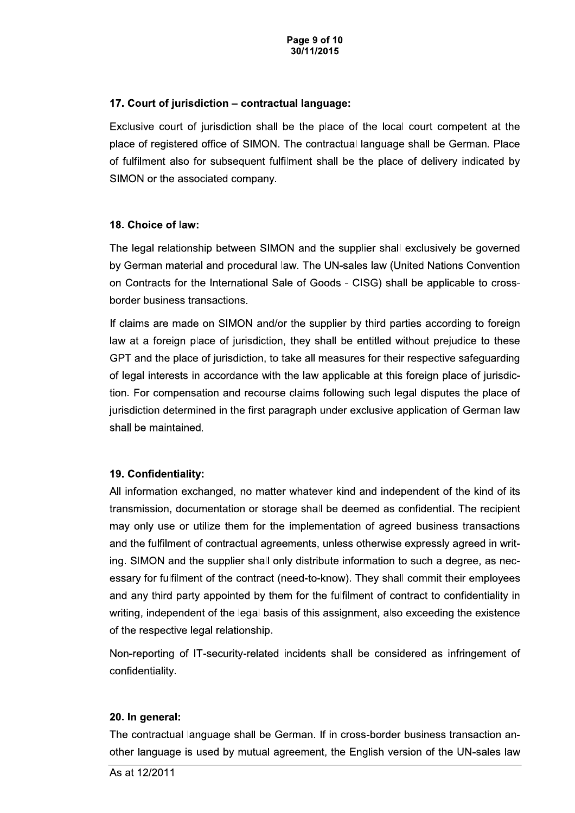#### 17. Court of jurisdiction - contractual language:

Exclusive court of jurisdiction shall be the place of the local court competent at the place of registered office of SIMON. The contractual language shall be German. Place of fulfilment also for subsequent fulfilment shall be the place of delivery indicated by SIMON or the associated company.

#### 18. Choice of law:

The legal relationship between SIMON and the supplier shall exclusively be governed by German material and procedural law. The UN-sales law (United Nations Convention on Contracts for the International Sale of Goods - CISG) shall be applicable to crossborder business transactions.

If claims are made on SIMON and/or the supplier by third parties according to foreign law at a foreign place of jurisdiction, they shall be entitled without prejudice to these GPT and the place of jurisdiction, to take all measures for their respective safequarding of legal interests in accordance with the law applicable at this foreign place of jurisdiction. For compensation and recourse claims following such legal disputes the place of jurisdiction determined in the first paragraph under exclusive application of German law shall be maintained.

### 19. Confidentiality:

All information exchanged, no matter whatever kind and independent of the kind of its transmission, documentation or storage shall be deemed as confidential. The recipient may only use or utilize them for the implementation of agreed business transactions and the fulfilment of contractual agreements, unless otherwise expressly agreed in writing. SIMON and the supplier shall only distribute information to such a degree, as necessary for fulfilment of the contract (need-to-know). They shall commit their employees and any third party appointed by them for the fulfilment of contract to confidentiality in writing, independent of the legal basis of this assignment, also exceeding the existence of the respective legal relationship.

Non-reporting of IT-security-related incidents shall be considered as infringement of confidentiality.

### 20. In general:

The contractual language shall be German. If in cross-border business transaction another language is used by mutual agreement, the English version of the UN-sales law